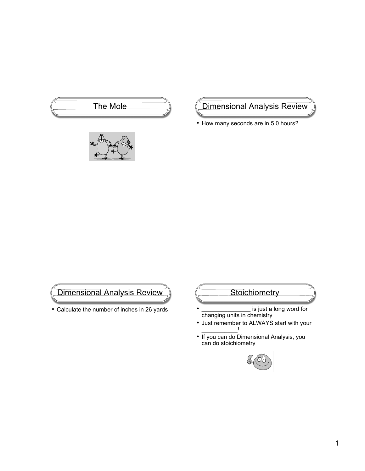



The Mole (Dimensional Analysis Review

• How many seconds are in 5.0 hours?

Dimensional Analysis Review

• Calculate the number of inches in 26 yards

# **Stoichiometry**

- **\_\_\_\_\_\_\_\_\_\_\_\_\_\_\_** is just a long word for changing units in chemistry
- Just remember to ALWAYS start with your **\_\_\_\_\_\_\_\_\_\_\_**!
- If you can do Dimensional Analysis, you can do stoichiometry

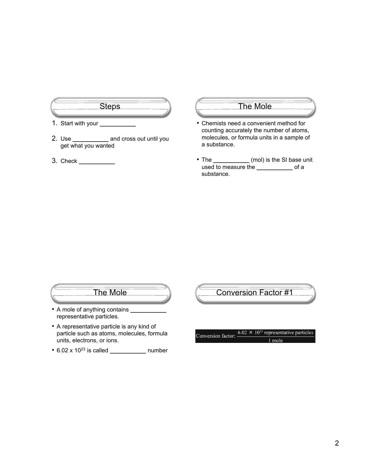

- 1. Start with your **\_\_\_\_\_\_\_\_\_\_\_**
- 2. Use **\_\_\_\_\_\_\_\_\_\_\_** and cross out until you get what you wanted
- 3. Check **\_\_\_\_\_\_\_\_\_\_\_**

#### The Mole

- Chemists need a convenient method for counting accurately the number of atoms, molecules, or formula units in a sample of a substance.
- The **\_\_\_\_\_\_\_\_\_\_\_** (mol) is the SI base unit used to measure the **\_\_\_\_\_\_\_\_\_\_\_** of a substance.

#### The Mole

- A mole of anything contains **\_\_\_\_\_\_\_\_\_\_\_** representative particles.
- A representative particle is any kind of particle such as atoms, molecules, formula units, electrons, or ions.
- 6.02 x 1023 is called **\_\_\_\_\_\_\_\_\_\_\_** number

Conversion Factor #1

Conversion factor:  $\frac{6.02 \times 10^{23} \text{ representative particles}}{1 \text{ mole}}$ 1 mole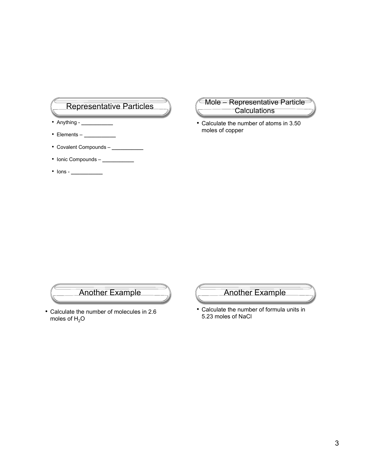# Representative Particles

- Anything **\_\_\_\_\_\_\_\_\_\_\_**
- Elements **\_\_\_\_\_\_\_\_\_\_\_**
- Covalent Compounds **\_\_\_\_\_\_\_\_\_\_\_**
- Ionic Compounds **\_\_\_\_\_\_\_\_\_\_\_**
- Ions **\_\_\_\_\_\_\_\_\_\_\_**

Mole – Representative Particle **Calculations** 

• Calculate the number of atoms in 3.50 moles of copper



• Calculate the number of molecules in 2.6 moles of  $H_2O$ 



• Calculate the number of formula units in 5.23 moles of NaCl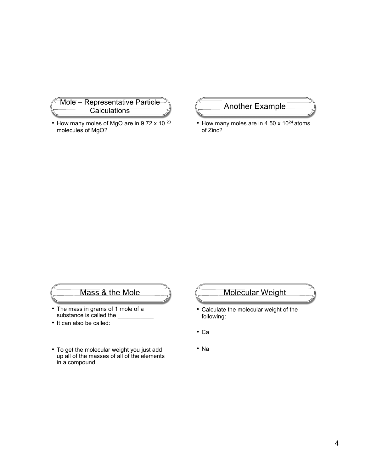

• How many moles of MgO are in 9.72 x 10 <sup>23</sup> molecules of MgO?

#### Another Example

• How many moles are in 4.50  $\times$  10<sup>24</sup> atoms of Zinc?

#### Mass & the Mole

- The mass in grams of 1 mole of a substance is called the **willing**
- It can also be called:
- To get the molecular weight you just add up all of the masses of all of the elements in a compound

# Molecular Weight

- Calculate the molecular weight of the following:
- Ca
- Na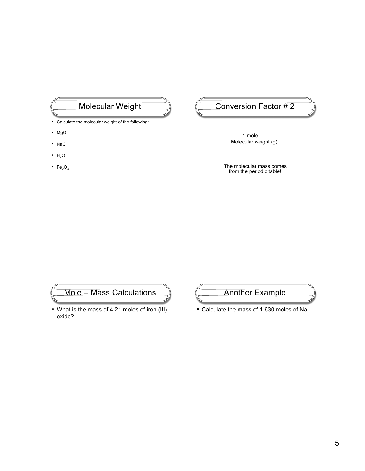# Molecular Weight

- Calculate the molecular weight of the following:
- MgO
- NaCl
- $H_2O$
- $Fe<sub>2</sub>O<sub>3</sub>$

#### Conversion Factor # 2

 1 mole Molecular weight (g)

The molecular mass comes from the periodic table!

#### Mole – Mass Calculations

• What is the mass of 4.21 moles of iron (III) oxide?



• Calculate the mass of 1.630 moles of Na